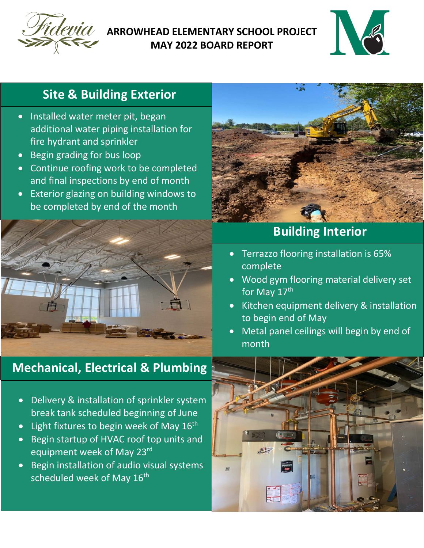

### **ARROWHEAD ELEMENTARY SCHOOL PROJECT MAY 2022 BOARD REPORT**



# **Site & Building Exterior**

- Installed water meter pit, began additional water piping installation for fire hydrant and sprinkler
- Begin grading for bus loop
- Continue roofing work to be completed and final inspections by end of month
- Exterior glazing on building windows to be completed by end of the month



## **Mechanical, Electrical & Plumbing**



## **Building Interior**

- Terrazzo flooring installation is 65% complete
- Wood gym flooring material delivery set for May 17th
- Kitchen equipment delivery & installation to begin end of May
- Metal panel ceilings will begin by end of month



- Delivery & installation of sprinkler system break tank scheduled beginning of June
- Light fixtures to begin week of May  $16<sup>th</sup>$
- Begin startup of HVAC roof top units and equipment week of May 23rd
- Begin installation of audio visual systems scheduled week of May 16<sup>th</sup>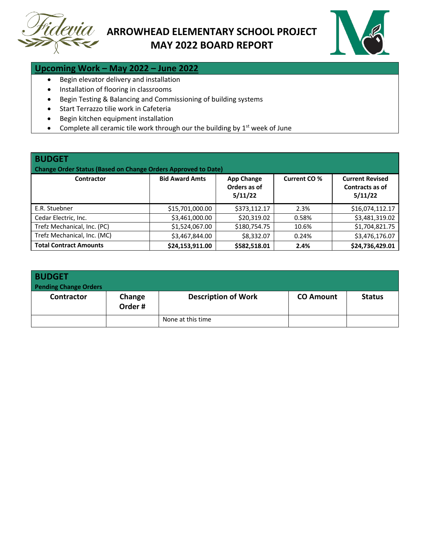



#### **Upcoming Work – May 2022 – June 2022**

- Begin elevator delivery and installation
- Installation of flooring in classrooms
- Begin Testing & Balancing and Commissioning of building systems
- Start Terrazzo tilie work in Cafeteria
- Begin kitchen equipment installation
- Complete all ceramic tile work through our the building by  $1<sup>st</sup>$  week of June

| <b>BUDGET</b><br><b>Change Order Status (Based on Change Orders Approved to Date)</b> |                       |                                              |              |                                                      |  |  |  |
|---------------------------------------------------------------------------------------|-----------------------|----------------------------------------------|--------------|------------------------------------------------------|--|--|--|
| <b>Contractor</b>                                                                     | <b>Bid Award Amts</b> | <b>App Change</b><br>Orders as of<br>5/11/22 | Current CO % | <b>Current Revised</b><br>Contracts as of<br>5/11/22 |  |  |  |
| E.R. Stuebner                                                                         | \$15,701,000.00       | \$373,112.17                                 | 2.3%         | \$16,074,112.17                                      |  |  |  |
| Cedar Electric, Inc.                                                                  | \$3,461,000.00        | \$20.319.02                                  | 0.58%        | \$3,481,319.02                                       |  |  |  |
| Trefz Mechanical, Inc. (PC)                                                           | \$1,524,067.00        | \$180,754.75                                 | 10.6%        | \$1,704,821.75                                       |  |  |  |
| Trefz Mechanical, Inc. (MC)                                                           | \$3,467,844.00        | \$8,332.07                                   | 0.24%        | \$3,476,176.07                                       |  |  |  |
| <b>Total Contract Amounts</b>                                                         | \$24,153,911.00       | \$582,518.01                                 | 2.4%         | \$24,736,429.01                                      |  |  |  |

| <b>BUDGET</b><br><b>Pending Change Orders</b> |                  |                            |                  |               |
|-----------------------------------------------|------------------|----------------------------|------------------|---------------|
| <b>Contractor</b>                             | Change<br>Order# | <b>Description of Work</b> | <b>CO Amount</b> | <b>Status</b> |
|                                               |                  | None at this time          |                  |               |